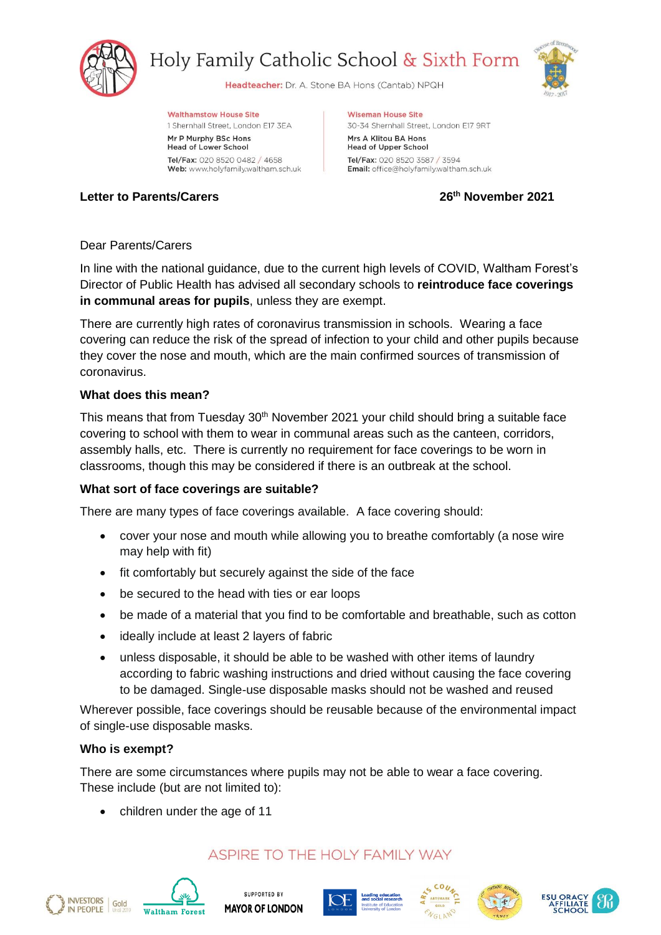

Holy Family Catholic School & Sixth Form

Headteacher: Dr. A. Stone BA Hons (Cantab) NPQH



**Walthamstow House Site** 

1 Shernhall Street, London E17 3EA Mr P Murphy BSc Hons **Head of Lower School** 

Tel/Fax: 020 8520 0482 / 4658 Web: www.holyfamily.waltham.sch.uk

**Wiseman House Site** 30-34 Shernhall Street, London E17 9RT Mrs A Klitou BA Hons

**Head of Upper School** Tel/Fax: 020 8520 3587 / 3594 Email: office@holyfamily.waltham.sch.uk

# **Letter to Parents/Carers 26th November 2021**

## Dear Parents/Carers

In line with the national guidance, due to the current high levels of COVID, Waltham Forest's Director of Public Health has advised all secondary schools to **reintroduce face coverings in communal areas for pupils**, unless they are exempt.

There are currently high rates of coronavirus transmission in schools. Wearing a face covering can reduce the risk of the spread of infection to your child and other pupils because they cover the nose and mouth, which are the main confirmed sources of transmission of coronavirus.

#### **What does this mean?**

This means that from Tuesday 30<sup>th</sup> November 2021 your child should bring a suitable face covering to school with them to wear in communal areas such as the canteen, corridors, assembly halls, etc. There is currently no requirement for face coverings to be worn in classrooms, though this may be considered if there is an outbreak at the school.

## **What sort of face coverings are suitable?**

There are many types of face coverings available. A face covering should:

- cover your nose and mouth while allowing you to breathe comfortably (a nose wire may help with fit)
- fit comfortably but securely against the side of the face
- be secured to the head with ties or ear loops
- be made of a material that you find to be comfortable and breathable, such as cotton
- ideally include at least 2 layers of fabric
- unless disposable, it should be able to be washed with other items of laundry according to fabric washing instructions and dried without causing the face covering to be damaged. Single-use disposable masks should not be washed and reused

Wherever possible, face coverings should be reusable because of the environmental impact of single-use disposable masks.

#### **Who is exempt?**

There are some circumstances where pupils may not be able to wear a face covering. These include (but are not limited to):

children under the age of 11

# ASPIRE TO THE HOLY FAMILY WAY